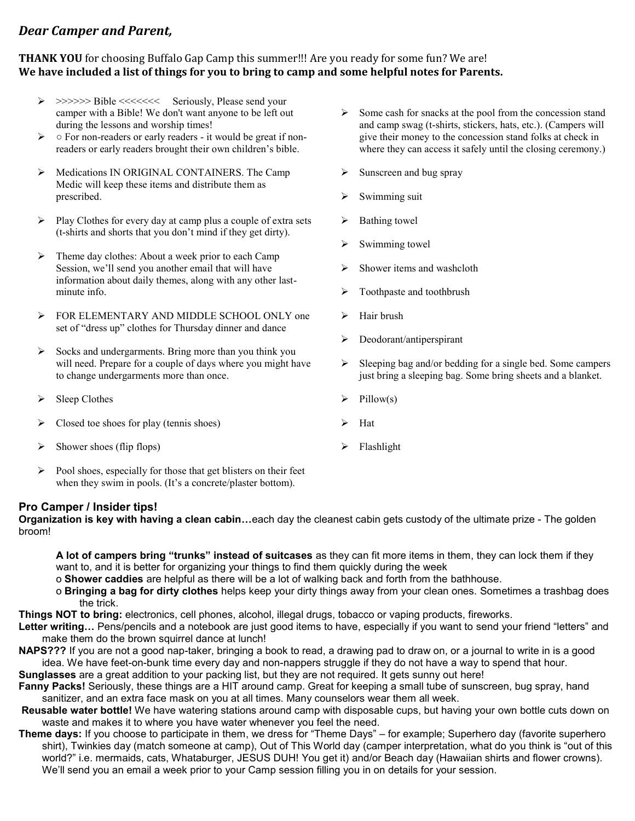## *Dear Camper and Parent,*

## **THANK YOU** for choosing Buffalo Gap Camp this summer!!! Are you ready for some fun? We are! **We have included a list of things for you to bring to camp and some helpful notes for Parents.**

- ➢ >>>>>> Bible <<<<<<< Seriously, Please send your camper with a Bible! We don't want anyone to be left out during the lessons and worship times!
- ➢ For non-readers or early readers it would be great if nonreaders or early readers brought their own children's bible.
- ➢ Medications IN ORIGINAL CONTAINERS. The Camp Medic will keep these items and distribute them as prescribed.
- ➢ Play Clothes for every day at camp plus a couple of extra sets (t-shirts and shorts that you don't mind if they get dirty).
- ➢ Theme day clothes: About a week prior to each Camp Session, we'll send you another email that will have information about daily themes, along with any other lastminute info.
- ➢ FOR ELEMENTARY AND MIDDLE SCHOOL ONLY one set of "dress up" clothes for Thursday dinner and dance
- ➢ Socks and undergarments. Bring more than you think you will need. Prepare for a couple of days where you might have to change undergarments more than once.
- $\triangleright$  Sleep Clothes
- $\triangleright$  Closed toe shoes for play (tennis shoes)
- $\triangleright$  Shower shoes (flip flops)
- $\triangleright$  Pool shoes, especially for those that get blisters on their feet when they swim in pools. (It's a concrete/plaster bottom).

## **Pro Camper / Insider tips!**

**Organization is key with having a clean cabin…**each day the cleanest cabin gets custody of the ultimate prize - The golden broom!

- **A lot of campers bring "trunks" instead of suitcases** as they can fit more items in them, they can lock them if they want to, and it is better for organizing your things to find them quickly during the week
- o **Shower caddies** are helpful as there will be a lot of walking back and forth from the bathhouse.
- o **Bringing a bag for dirty clothes** helps keep your dirty things away from your clean ones. Sometimes a trashbag does the trick.

**Things NOT to bring:** electronics, cell phones, alcohol, illegal drugs, tobacco or vaping products, fireworks.

- **Letter writing…** Pens/pencils and a notebook are just good items to have, especially if you want to send your friend "letters" and make them do the brown squirrel dance at lunch!
- **NAPS???** If you are not a good nap-taker, bringing a book to read, a drawing pad to draw on, or a journal to write in is a good idea. We have feet-on-bunk time every day and non-nappers struggle if they do not have a way to spend that hour. **Sunglasses** are a great addition to your packing list, but they are not required. It gets sunny out here!

**Fanny Packs!** Seriously, these things are a HIT around camp. Great for keeping a small tube of sunscreen, bug spray, hand sanitizer, and an extra face mask on you at all times. Many counselors wear them all week.

- **Reusable water bottle!** We have watering stations around camp with disposable cups, but having your own bottle cuts down on waste and makes it to where you have water whenever you feel the need.
- **Theme days:** If you choose to participate in them, we dress for "Theme Days" for example; Superhero day (favorite superhero shirt), Twinkies day (match someone at camp), Out of This World day (camper interpretation, what do you think is "out of this world?" i.e. mermaids, cats, Whataburger, JESUS DUH! You get it) and/or Beach day (Hawaiian shirts and flower crowns). We'll send you an email a week prior to your Camp session filling you in on details for your session.
- ➢ Some cash for snacks at the pool from the concession stand and camp swag (t-shirts, stickers, hats, etc.). (Campers will give their money to the concession stand folks at check in where they can access it safely until the closing ceremony.)
- $\triangleright$  Sunscreen and bug spray
- $\triangleright$  Swimming suit
- ➢ Bathing towel
- ➢ Swimming towel
- $\triangleright$  Shower items and washcloth
- ➢ Toothpaste and toothbrush
- ➢ Hair brush
- ➢ Deodorant/antiperspirant
- $\triangleright$  Sleeping bag and/or bedding for a single bed. Some campers just bring a sleeping bag. Some bring sheets and a blanket.
- $\triangleright$  Pillow(s)
- ➢ Hat
- ➢ Flashlight